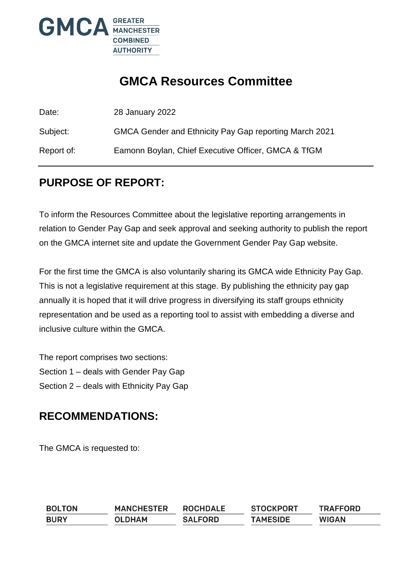

# **GMCA Resources Committee**

Date: 28 January 2022 Subject: GMCA Gender and Ethnicity Pay Gap reporting March 2021 Report of: Eamonn Boylan, Chief Executive Officer, GMCA & TfGM

### **PURPOSE OF REPORT:**

To inform the Resources Committee about the legislative reporting arrangements in relation to Gender Pay Gap and seek approval and seeking authority to publish the report on the GMCA internet site and update the Government Gender Pay Gap website.

For the first time the GMCA is also voluntarily sharing its GMCA wide Ethnicity Pay Gap. This is not a legislative requirement at this stage. By publishing the ethnicity pay gap annually it is hoped that it will drive progress in diversifying its staff groups ethnicity representation and be used as a reporting tool to assist with embedding a diverse and inclusive culture within the GMCA.

The report comprises two sections: Section 1 – deals with Gender Pay Gap Section 2 – deals with Ethnicity Pay Gap

### **RECOMMENDATIONS:**

The GMCA is requested to:

| <b>BOLTON</b> | <b>MANCHESTER</b> | <b>ROCHDALE</b> | <b>STOCKPORT</b> | <b>TRAFFORD</b> |
|---------------|-------------------|-----------------|------------------|-----------------|
| <b>BURY</b>   | OLDHAM            | <b>SALFORD</b>  | <b>TAMESIDE</b>  | <b>WIGAN</b>    |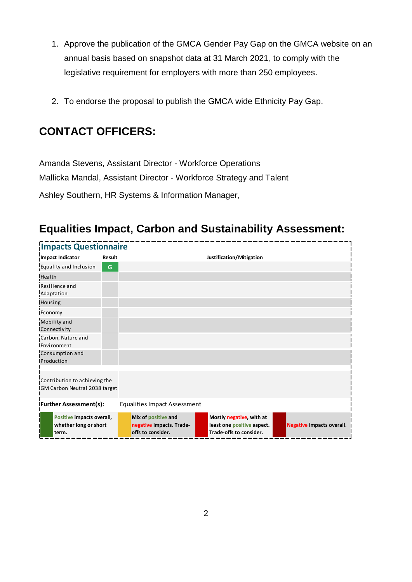- 1. Approve the publication of the GMCA Gender Pay Gap on the GMCA website on an annual basis based on snapshot data at 31 March 2021, to comply with the legislative requirement for employers with more than 250 employees.
- 2. To endorse the proposal to publish the GMCA wide Ethnicity Pay Gap.

## **CONTACT OFFICERS:**

Amanda Stevens, Assistant Director - Workforce Operations Mallicka Mandal, Assistant Director - Workforce Strategy and Talent Ashley Southern, HR Systems & Information Manager,

## **Equalities Impact, Carbon and Sustainability Assessment:**

| <b>Impacts Questionnaire</b>                                   |               |                                                                      |                                                                                   |                                  |
|----------------------------------------------------------------|---------------|----------------------------------------------------------------------|-----------------------------------------------------------------------------------|----------------------------------|
| Impact Indicator                                               | <b>Result</b> |                                                                      | Justification/Mitigation                                                          |                                  |
| Equality and Inclusion                                         | G             |                                                                      |                                                                                   |                                  |
| Health                                                         |               |                                                                      |                                                                                   |                                  |
| Resilience and<br>Adaptation                                   |               |                                                                      |                                                                                   |                                  |
| Housing                                                        |               |                                                                      |                                                                                   |                                  |
| Economy                                                        |               |                                                                      |                                                                                   |                                  |
| Mobility and<br>Connectivity                                   |               |                                                                      |                                                                                   |                                  |
| Carbon, Nature and<br>Environment                              |               |                                                                      |                                                                                   |                                  |
| Consumption and<br>Production                                  |               |                                                                      |                                                                                   |                                  |
| Contribution to achieving the<br>GM Carbon Neutral 2038 target |               |                                                                      |                                                                                   |                                  |
| <b>Further Assessment(s):</b>                                  |               | <b>Equalities Impact Assessment</b>                                  |                                                                                   |                                  |
| Positive impacts overall,<br>whether long or short<br>term.    |               | Mix of positive and<br>negative impacts. Trade-<br>offs to consider. | Mostly negative, with at<br>least one positive aspect.<br>Trade-offs to consider. | <b>Negative impacts overall.</b> |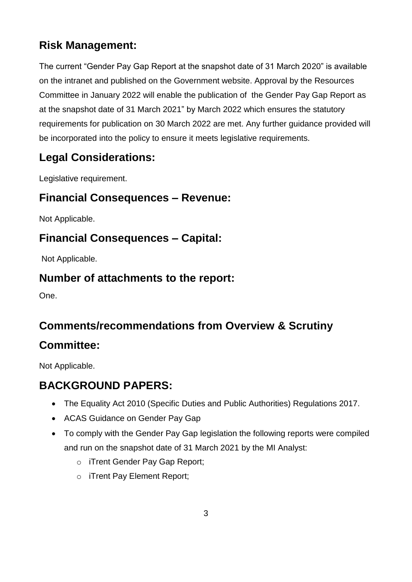# **Risk Management:**

The current "Gender Pay Gap Report at the snapshot date of 31 March 2020" is available on the intranet and published on the Government website. Approval by the Resources Committee in January 2022 will enable the publication of the Gender Pay Gap Report as at the snapshot date of 31 March 2021" by March 2022 which ensures the statutory requirements for publication on 30 March 2022 are met. Any further guidance provided will be incorporated into the policy to ensure it meets legislative requirements.

# **Legal Considerations:**

Legislative requirement.

## **Financial Consequences – Revenue:**

Not Applicable.

## **Financial Consequences – Capital:**

Not Applicable.

### **Number of attachments to the report:**

One.

# **Comments/recommendations from Overview & Scrutiny**

### **Committee:**

Not Applicable.

# **BACKGROUND PAPERS:**

- The Equality Act 2010 (Specific Duties and Public Authorities) Regulations 2017.
- ACAS Guidance on Gender Pay Gap
- To comply with the Gender Pay Gap legislation the following reports were compiled and run on the snapshot date of 31 March 2021 by the MI Analyst:
	- o iTrent Gender Pay Gap Report;
	- o iTrent Pay Element Report;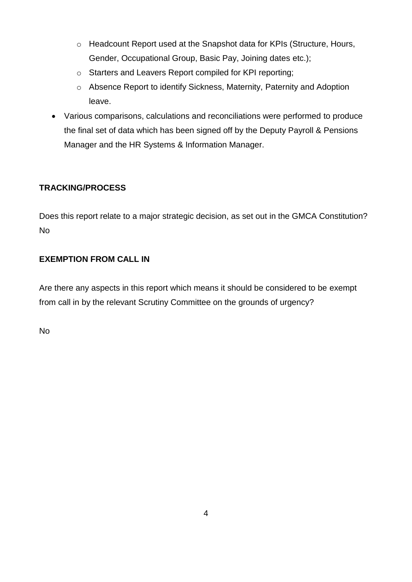- o Headcount Report used at the Snapshot data for KPIs (Structure, Hours, Gender, Occupational Group, Basic Pay, Joining dates etc.);
- o Starters and Leavers Report compiled for KPI reporting;
- o Absence Report to identify Sickness, Maternity, Paternity and Adoption leave.
- Various comparisons, calculations and reconciliations were performed to produce the final set of data which has been signed off by the Deputy Payroll & Pensions Manager and the HR Systems & Information Manager.

#### **TRACKING/PROCESS**

Does this report relate to a major strategic decision, as set out in the GMCA Constitution? No

#### **EXEMPTION FROM CALL IN**

Are there any aspects in this report which means it should be considered to be exempt from call in by the relevant Scrutiny Committee on the grounds of urgency?

No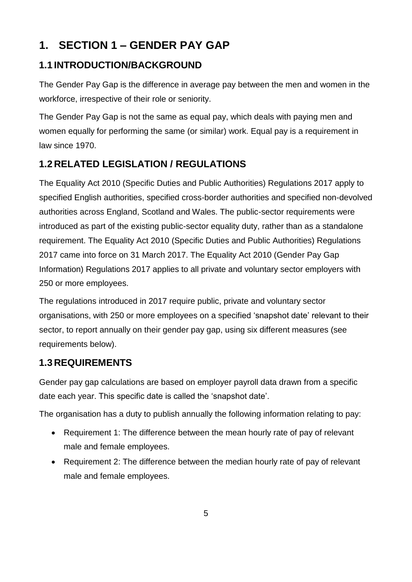# **1. SECTION 1 – GENDER PAY GAP**

### **1.1 INTRODUCTION/BACKGROUND**

The Gender Pay Gap is the difference in average pay between the men and women in the workforce, irrespective of their role or seniority.

The Gender Pay Gap is not the same as equal pay, which deals with paying men and women equally for performing the same (or similar) work. Equal pay is a requirement in law since 1970.

### **1.2 RELATED LEGISLATION / REGULATIONS**

The Equality Act 2010 (Specific Duties and Public Authorities) Regulations 2017 apply to specified English authorities, specified cross-border authorities and specified non-devolved authorities across England, Scotland and Wales. The public-sector requirements were introduced as part of the existing public-sector equality duty, rather than as a standalone requirement. The Equality Act 2010 (Specific Duties and Public Authorities) Regulations 2017 came into force on 31 March 2017. The Equality Act 2010 (Gender Pay Gap Information) Regulations 2017 applies to all private and voluntary sector employers with 250 or more employees.

The regulations introduced in 2017 require public, private and voluntary sector organisations, with 250 or more employees on a specified 'snapshot date' relevant to their sector, to report annually on their gender pay gap, using six different measures (see requirements below).

### **1.3 REQUIREMENTS**

Gender pay gap calculations are based on employer payroll data drawn from a specific date each year. This specific date is called the 'snapshot date'.

The organisation has a duty to publish annually the following information relating to pay:

- Requirement 1: The difference between the mean hourly rate of pay of relevant male and female employees.
- Requirement 2: The difference between the median hourly rate of pay of relevant male and female employees.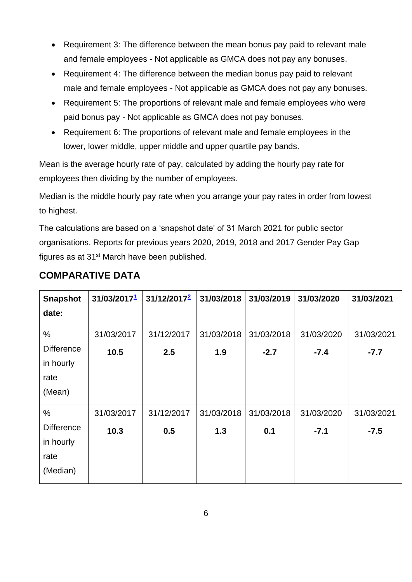- Requirement 3: The difference between the mean bonus pay paid to relevant male and female employees - Not applicable as GMCA does not pay any bonuses.
- Requirement 4: The difference between the median bonus pay paid to relevant male and female employees - Not applicable as GMCA does not pay any bonuses.
- Requirement 5: The proportions of relevant male and female employees who were paid bonus pay - Not applicable as GMCA does not pay bonuses.
- Requirement 6: The proportions of relevant male and female employees in the lower, lower middle, upper middle and upper quartile pay bands.

Mean is the average hourly rate of pay, calculated by adding the hourly pay rate for employees then dividing by the number of employees.

Median is the middle hourly pay rate when you arrange your pay rates in order from lowest to highest.

The calculations are based on a 'snapshot date' of 31 March 2021 for public sector organisations. Reports for previous years 2020, 2019, 2018 and 2017 Gender Pay Gap figures as at 31st March have been published.

| <b>Snapshot</b>   | 31/03/20171 | 31/12/2017 <sup>2</sup> | 31/03/2018 | 31/03/2019 | 31/03/2020 | 31/03/2021 |
|-------------------|-------------|-------------------------|------------|------------|------------|------------|
| date:             |             |                         |            |            |            |            |
| $\%$              | 31/03/2017  | 31/12/2017              | 31/03/2018 | 31/03/2018 | 31/03/2020 | 31/03/2021 |
| <b>Difference</b> | 10.5        | 2.5                     | 1.9        | $-2.7$     | $-7.4$     | $-7.7$     |
| in hourly         |             |                         |            |            |            |            |
| rate              |             |                         |            |            |            |            |
| (Mean)            |             |                         |            |            |            |            |
| $\%$              | 31/03/2017  | 31/12/2017              | 31/03/2018 | 31/03/2018 | 31/03/2020 | 31/03/2021 |
| <b>Difference</b> | 10.3        | 0.5                     | 1.3        | 0.1        | $-7.1$     | $-7.5$     |
| in hourly         |             |                         |            |            |            |            |
| rate              |             |                         |            |            |            |            |
| (Median)          |             |                         |            |            |            |            |

### **COMPARATIVE DATA**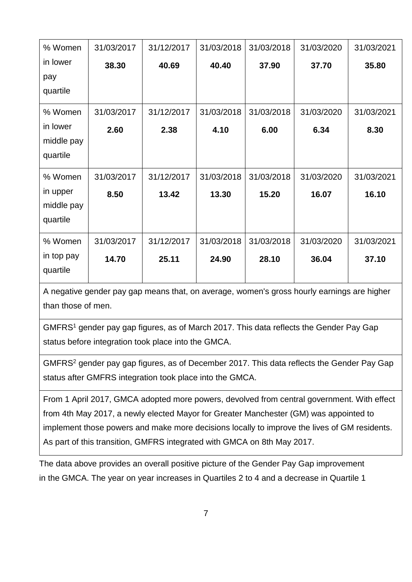| % Women    | 31/03/2017 | 31/12/2017 | 31/03/2018 | 31/03/2018 | 31/03/2020 | 31/03/2021 |
|------------|------------|------------|------------|------------|------------|------------|
| in lower   | 38.30      | 40.69      | 40.40      | 37.90      | 37.70      | 35.80      |
| pay        |            |            |            |            |            |            |
| quartile   |            |            |            |            |            |            |
| % Women    | 31/03/2017 | 31/12/2017 | 31/03/2018 | 31/03/2018 | 31/03/2020 | 31/03/2021 |
| in lower   | 2.60       | 2.38       | 4.10       | 6.00       | 6.34       | 8.30       |
| middle pay |            |            |            |            |            |            |
| quartile   |            |            |            |            |            |            |
|            |            |            |            |            |            |            |
| % Women    | 31/03/2017 | 31/12/2017 | 31/03/2018 | 31/03/2018 | 31/03/2020 | 31/03/2021 |
| in upper   | 8.50       | 13.42      | 13.30      | 15.20      | 16.07      | 16.10      |
| middle pay |            |            |            |            |            |            |
| quartile   |            |            |            |            |            |            |
| % Women    | 31/03/2017 | 31/12/2017 | 31/03/2018 | 31/03/2018 | 31/03/2020 | 31/03/2021 |
| in top pay | 14.70      | 25.11      | 24.90      | 28.10      | 36.04      | 37.10      |
| quartile   |            |            |            |            |            |            |
|            |            |            |            |            |            |            |

A negative gender pay gap means that, on average, women's gross hourly earnings are higher than those of men.

<span id="page-6-0"></span>GMFRS<sup>1</sup> gender pay gap figures, as of March 2017. This data reflects the Gender Pay Gap status before integration took place into the GMCA.

<span id="page-6-1"></span>GMFRS<sup>2</sup> gender pay gap figures, as of December 2017. This data reflects the Gender Pay Gap status after GMFRS integration took place into the GMCA.

From 1 April 2017, GMCA adopted more powers, devolved from central government. With effect from 4th May 2017, a newly elected Mayor for Greater Manchester (GM) was appointed to implement those powers and make more decisions locally to improve the lives of GM residents. As part of this transition, GMFRS integrated with GMCA on 8th May 2017.

The data above provides an overall positive picture of the Gender Pay Gap improvement in the GMCA. The year on year increases in Quartiles 2 to 4 and a decrease in Quartile 1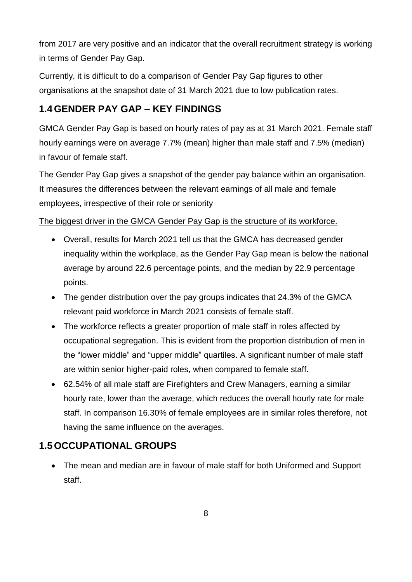from 2017 are very positive and an indicator that the overall recruitment strategy is working in terms of Gender Pay Gap.

Currently, it is difficult to do a comparison of Gender Pay Gap figures to other organisations at the snapshot date of 31 March 2021 due to low publication rates.

### **1.4GENDER PAY GAP – KEY FINDINGS**

GMCA Gender Pay Gap is based on hourly rates of pay as at 31 March 2021. Female staff hourly earnings were on average 7.7% (mean) higher than male staff and 7.5% (median) in favour of female staff.

The Gender Pay Gap gives a snapshot of the gender pay balance within an organisation. It measures the differences between the relevant earnings of all male and female employees, irrespective of their role or seniority

#### The biggest driver in the GMCA Gender Pay Gap is the structure of its workforce.

- Overall, results for March 2021 tell us that the GMCA has decreased gender inequality within the workplace, as the Gender Pay Gap mean is below the national average by around 22.6 percentage points, and the median by 22.9 percentage points.
- The gender distribution over the pay groups indicates that 24.3% of the GMCA relevant paid workforce in March 2021 consists of female staff.
- The workforce reflects a greater proportion of male staff in roles affected by occupational segregation. This is evident from the proportion distribution of men in the "lower middle" and "upper middle" quartiles. A significant number of male staff are within senior higher-paid roles, when compared to female staff.
- 62.54% of all male staff are Firefighters and Crew Managers, earning a similar hourly rate, lower than the average, which reduces the overall hourly rate for male staff. In comparison 16.30% of female employees are in similar roles therefore, not having the same influence on the averages.

### **1.5OCCUPATIONAL GROUPS**

 The mean and median are in favour of male staff for both Uniformed and Support staff.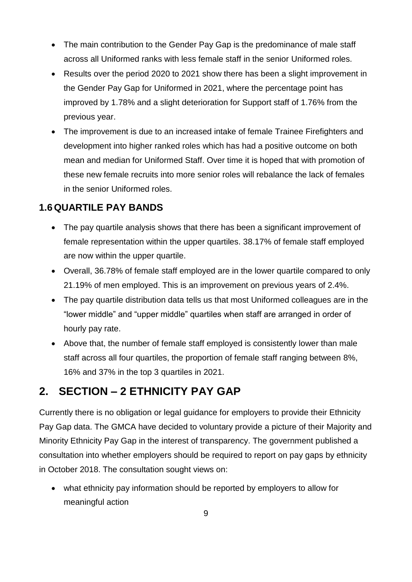- The main contribution to the Gender Pay Gap is the predominance of male staff across all Uniformed ranks with less female staff in the senior Uniformed roles.
- Results over the period 2020 to 2021 show there has been a slight improvement in the Gender Pay Gap for Uniformed in 2021, where the percentage point has improved by 1.78% and a slight deterioration for Support staff of 1.76% from the previous year.
- The improvement is due to an increased intake of female Trainee Firefighters and development into higher ranked roles which has had a positive outcome on both mean and median for Uniformed Staff. Over time it is hoped that with promotion of these new female recruits into more senior roles will rebalance the lack of females in the senior Uniformed roles.

#### **1.6QUARTILE PAY BANDS**

- The pay quartile analysis shows that there has been a significant improvement of female representation within the upper quartiles. 38.17% of female staff employed are now within the upper quartile.
- Overall, 36.78% of female staff employed are in the lower quartile compared to only 21.19% of men employed. This is an improvement on previous years of 2.4%.
- The pay quartile distribution data tells us that most Uniformed colleagues are in the "lower middle" and "upper middle" quartiles when staff are arranged in order of hourly pay rate.
- Above that, the number of female staff employed is consistently lower than male staff across all four quartiles, the proportion of female staff ranging between 8%, 16% and 37% in the top 3 quartiles in 2021.

### **2. SECTION – 2 ETHNICITY PAY GAP**

Currently there is no obligation or legal guidance for employers to provide their Ethnicity Pay Gap data. The GMCA have decided to voluntary provide a picture of their Majority and Minority Ethnicity Pay Gap in the interest of transparency. The government published a consultation into whether employers should be required to report on pay gaps by ethnicity in October 2018. The consultation sought views on:

 what ethnicity pay information should be reported by employers to allow for meaningful action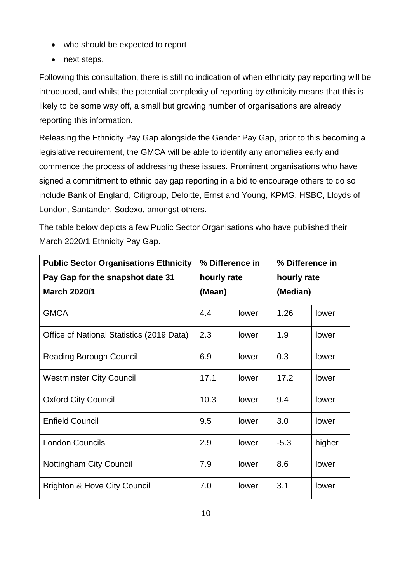- who should be expected to report
- next steps.

Following this consultation, there is still no indication of when ethnicity pay reporting will be introduced, and whilst the potential complexity of reporting by ethnicity means that this is likely to be some way off, a small but growing number of organisations are already reporting this information.

Releasing the Ethnicity Pay Gap alongside the Gender Pay Gap, prior to this becoming a legislative requirement, the GMCA will be able to identify any anomalies early and commence the process of addressing these issues. Prominent organisations who have signed a commitment to ethnic pay gap reporting in a bid to encourage others to do so include Bank of England, Citigroup, Deloitte, Ernst and Young, KPMG, HSBC, Lloyds of London, Santander, Sodexo, amongst others.

The table below depicts a few Public Sector Organisations who have published their March 2020/1 Ethnicity Pay Gap.

| <b>Public Sector Organisations Ethnicity</b> | % Difference in |       | % Difference in |        |
|----------------------------------------------|-----------------|-------|-----------------|--------|
| Pay Gap for the snapshot date 31             | hourly rate     |       | hourly rate     |        |
| <b>March 2020/1</b>                          | (Mean)          |       | (Median)        |        |
| <b>GMCA</b>                                  | 4.4             | lower | 1.26            | lower  |
| Office of National Statistics (2019 Data)    | 2.3             | lower | 1.9             | lower  |
| <b>Reading Borough Council</b>               | 6.9             | lower | 0.3             | lower  |
| <b>Westminster City Council</b>              | 17.1            | lower | 17.2            | lower  |
| <b>Oxford City Council</b>                   | 10.3            | lower | 9.4             | lower  |
| <b>Enfield Council</b>                       | 9.5             | lower | 3.0             | lower  |
| <b>London Councils</b>                       | 2.9             | lower | $-5.3$          | higher |
| <b>Nottingham City Council</b>               | 7.9             | lower | 8.6             | lower  |
| <b>Brighton &amp; Hove City Council</b>      | 7.0             | lower | 3.1             | lower  |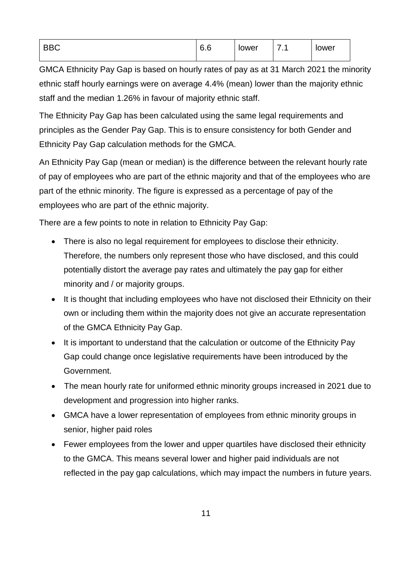| $\overline{\phantom{a}}$<br>_<br>. —<br>∽.<br>⊔ບ | C.<br>v.v | lower | -<br>. | lower |
|--------------------------------------------------|-----------|-------|--------|-------|
|                                                  |           |       |        |       |

GMCA Ethnicity Pay Gap is based on hourly rates of pay as at 31 March 2021 the minority ethnic staff hourly earnings were on average 4.4% (mean) lower than the majority ethnic staff and the median 1.26% in favour of majority ethnic staff.

The Ethnicity Pay Gap has been calculated using the same legal requirements and principles as the Gender Pay Gap. This is to ensure consistency for both Gender and Ethnicity Pay Gap calculation methods for the GMCA.

An Ethnicity Pay Gap (mean or median) is the difference between the relevant hourly rate of pay of employees who are part of the ethnic majority and that of the employees who are part of the ethnic minority. The figure is expressed as a percentage of pay of the employees who are part of the ethnic majority.

There are a few points to note in relation to Ethnicity Pay Gap:

- There is also no legal requirement for employees to disclose their ethnicity. Therefore, the numbers only represent those who have disclosed, and this could potentially distort the average pay rates and ultimately the pay gap for either minority and / or majority groups.
- It is thought that including employees who have not disclosed their Ethnicity on their own or including them within the majority does not give an accurate representation of the GMCA Ethnicity Pay Gap.
- It is important to understand that the calculation or outcome of the Ethnicity Pay Gap could change once legislative requirements have been introduced by the Government.
- The mean hourly rate for uniformed ethnic minority groups increased in 2021 due to development and progression into higher ranks.
- GMCA have a lower representation of employees from ethnic minority groups in senior, higher paid roles
- Fewer employees from the lower and upper quartiles have disclosed their ethnicity to the GMCA. This means several lower and higher paid individuals are not reflected in the pay gap calculations, which may impact the numbers in future years.